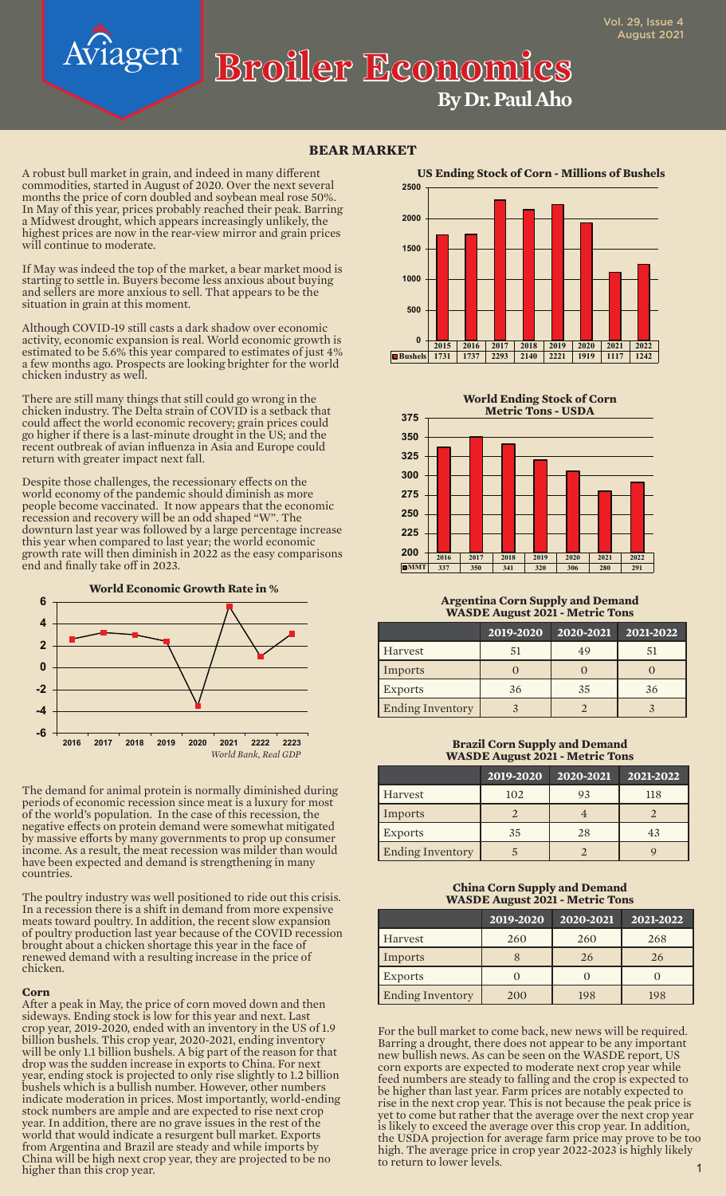# **By Dr. Paul Aho Broiler Economics**

## **BEAR MARKET**

A robust bull market in grain, and indeed in many different commodities, started in August of 2020. Over the next several months the price of corn doubled and soybean meal rose 50%. In May of this year, prices probably reached their peak. Barring a Midwest drought, which appears increasingly unlikely, the highest prices are now in the rear-view mirror and grain prices will continue to moderate.

agen®

If May was indeed the top of the market, a bear market mood is starting to settle in. Buyers become less anxious about buying and sellers are more anxious to sell. That appears to be the situation in grain at this moment.

Although COVID-19 still casts a dark shadow over economic activity, economic expansion is real. World economic growth is estimated to be 5.6% this year compared to estimates of just 4% a few months ago. Prospects are looking brighter for the world chicken industry as well.

There are still many things that still could go wrong in the chicken industry. The Delta strain of COVID is a setback that could affect the world economic recovery; grain prices could go higher if there is a last-minute drought in the US; and the recent outbreak of avian influenza in Asia and Europe could return with greater impact next fall.

Despite those challenges, the recessionary effects on the world economy of the pandemic should diminish as more people become vaccinated. It now appears that the economic recession and recovery will be an odd shaped "W". The downturn last year was followed by a large percentage increase this year when compared to last year; the world economic growth rate will then diminish in 2022 as the easy comparisons end and finally take off in 2023.



The demand for animal protein is normally diminished during periods of economic recession since meat is a luxury for most of the world's population. In the case of this recession, the negative effects on protein demand were somewhat mitigated by massive efforts by many governments to prop up consumer income. As a result, the meat recession was milder than would have been expected and demand is strengthening in many countries.

The poultry industry was well positioned to ride out this crisis. In a recession there is a shift in demand from more expensive meats toward poultry. In addition, the recent slow expansion of poultry production last year because of the COVID recession brought about a chicken shortage this year in the face of renewed demand with a resulting increase in the price of chicken.

#### **Corn**

After a peak in May, the price of corn moved down and then sideways. Ending stock is low for this year and next. Last crop year, 2019-2020, ended with an inventory in the US of 1.9 billion bushels. This crop year, 2020-2021, ending inventory will be only 1.1 billion bushels. A big part of the reason for that drop was the sudden increase in exports to China. For next year, ending stock is projected to only rise slightly to 1.2 billion bushels which is a bullish number. However, other numbers indicate moderation in prices. Most importantly, world-ending stock numbers are ample and are expected to rise next crop year. In addition, there are no grave issues in the rest of the world that would indicate a resurgent bull market. Exports from Argentina and Brazil are steady and while imports by China will be high next crop year, they are projected to be no higher than this crop year.





#### **Argentina Corn Supply and Demand WASDE August 2021 - Metric Tons**

|                         | 2019-2020 | 2020-2021 | 2021-2022 |
|-------------------------|-----------|-----------|-----------|
| Harvest                 |           | 49        | 51        |
| Imports                 |           |           |           |
| <b>Exports</b>          | 36        | 35        | 36        |
| <b>Ending Inventory</b> |           |           |           |

### **Brazil Corn Supply and Demand WASDE August 2021 - Metric Tons**

|                         | 2019-2020 | 2020-2021 | 2021-2022 |
|-------------------------|-----------|-----------|-----------|
| Harvest                 | 102       | 93        | 118       |
| Imports                 |           |           |           |
| <b>Exports</b>          | 35        | 28        | 43        |
| <b>Ending Inventory</b> |           |           |           |

## **China Corn Supply and Demand WASDE August 2021 - Metric Tons**

|                         | 2019-2020 | 2020-2021 | 2021-2022 |
|-------------------------|-----------|-----------|-----------|
| Harvest                 | 260       | 260       | 268       |
| Imports                 |           | 26        | 26        |
| <b>Exports</b>          |           |           |           |
| <b>Ending Inventory</b> | 200       | 198       | 198       |

For the bull market to come back, new news will be required. Barring a drought, there does not appear to be any important new bullish news. As can be seen on the WASDE report, US corn exports are expected to moderate next crop year while feed numbers are steady to falling and the crop is expected to be higher than last year. Farm prices are notably expected to rise in the next crop year. This is not because the peak price is yet to come but rather that the average over the next crop year is likely to exceed the average over this crop year. In addition, the USDA projection for average farm price may prove to be too high. The average price in crop year 2022-2023 is highly likely to return to lower levels.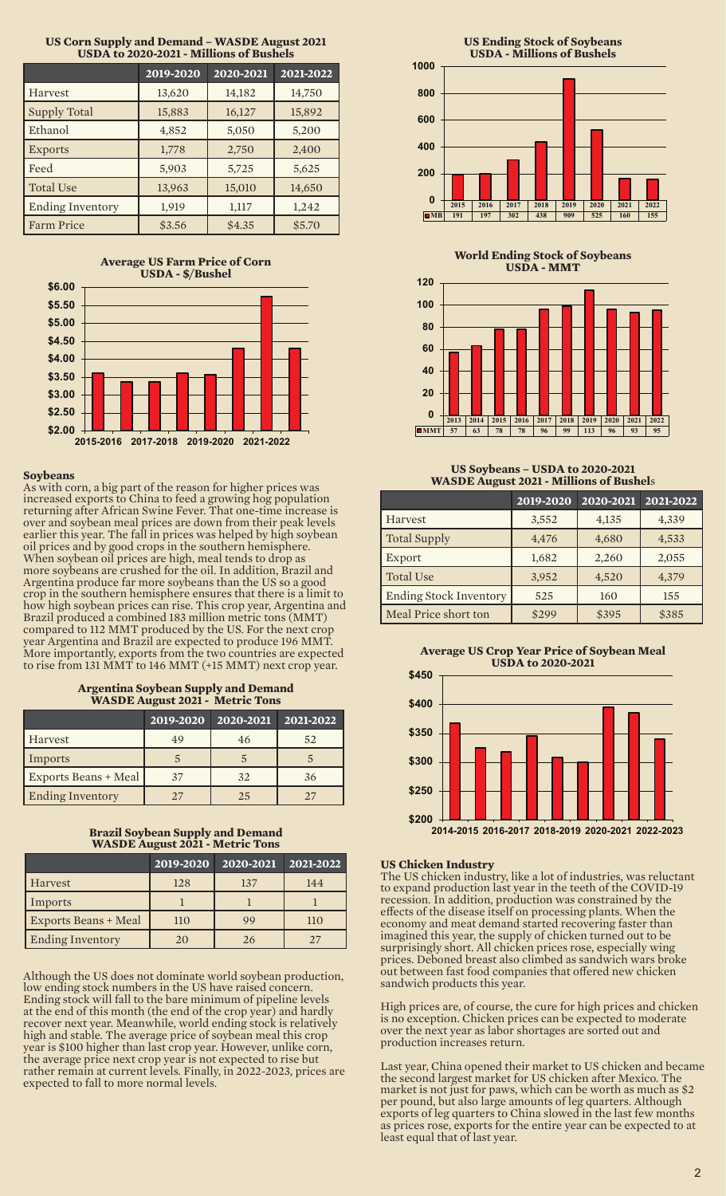| <u>UDDIN IV 2020-2021 - MINIQUS OI DUSHCIS</u> |           |           |           |
|------------------------------------------------|-----------|-----------|-----------|
|                                                | 2019-2020 | 2020-2021 | 2021-2022 |
| Harvest                                        | 13,620    | 14,182    | 14,750    |
| <b>Supply Total</b>                            | 15,883    | 16,127    | 15,892    |
| Ethanol                                        | 4,852     | 5,050     | 5,200     |
| <b>Exports</b>                                 | 1,778     | 2,750     | 2,400     |
| Feed                                           | 5,903     | 5,725     | 5,625     |
| <b>Total Use</b>                               | 13,963    | 15,010    | 14,650    |
| <b>Ending Inventory</b>                        | 1,919     | 1,117     | 1,242     |
| <b>Farm Price</b>                              | \$3.56    | \$4.35    | \$5.70    |

## **US Corn Supply and Demand – WASDE August 2021 USDA to 2020-2021 - Millions of Bushels**

**Average US Farm Price of Corn USDA - \$/Bushel**



## **Soybeans**

As with corn, a big part of the reason for higher prices was increased exports to China to feed a growing hog population returning after African Swine Fever. That one-time increase is over and soybean meal prices are down from their peak levels earlier this year. The fall in prices was helped by high soybean oil prices and by good crops in the southern hemisphere. When soybean oil prices are high, meal tends to drop as more soybeans are crushed for the oil. In addition, Brazil and Argentina produce far more soybeans than the US so a good crop in the southern hemisphere ensures that there is a limit to how high soybean prices can rise. This crop year, Argentina and Brazil produced a combined 183 million metric tons (MMT) compared to 112 MMT produced by the US. For the next crop year Argentina and Brazil are expected to produce 196 MMT. More importantly, exports from the two countries are expected to rise from 131 MMT to 146 MMT (+15 MMT) next crop year.

#### **Argentina Soybean Supply and Demand WASDE August 2021 - Metric Tons**

|                         | 2019-2020 | 2020-2021 | 2021-2022 |
|-------------------------|-----------|-----------|-----------|
| Harvest                 | 49        | 46        | 52        |
| Imports                 |           |           |           |
| Exports Beans + Meal    | 37        | 32        | 36        |
| <b>Ending Inventory</b> | 27        | 25        | 27        |

### **Brazil Soybean Supply and Demand WASDE August 2021 - Metric Tons**

|                             | 2019-2020 | 2020-2021 | 2021-2022 |
|-----------------------------|-----------|-----------|-----------|
| Harvest                     | 128       | 137       | 144       |
| Imports                     |           |           |           |
| <b>Exports Beans + Meal</b> | 110       | 99        | 110       |
| <b>Ending Inventory</b>     | 20        | 26        |           |

Although the US does not dominate world soybean production, low ending stock numbers in the US have raised concern. Ending stock will fall to the bare minimum of pipeline levels at the end of this month (the end of the crop year) and hardly recover next year. Meanwhile, world ending stock is relatively high and stable. The average price of soybean meal this crop year is \$100 higher than last crop year. However, unlike corn, the average price next crop year is not expected to rise but rather remain at current levels. Finally, in 2022-2023, prices are expected to fall to more normal levels.



**World Ending Stock of Soybeans USDA - MMT**



### **US Soybeans – USDA to 2020-2021 WASDE August 2021 - Millions of Bushel**s

|                               | 2019-2020 | 2020-2021 | 2021-2022 |
|-------------------------------|-----------|-----------|-----------|
| Harvest                       | 3,552     | 4,135     | 4,339     |
| <b>Total Supply</b>           | 4,476     | 4,680     | 4,533     |
| Export                        | 1,682     | 2,260     | 2,055     |
| <b>Total Use</b>              | 3,952     | 4,520     | 4,379     |
| <b>Ending Stock Inventory</b> | 525       | 160       | 155       |
| Meal Price short ton          | \$299     | \$395     | \$385     |





## **US Chicken Industry**

The US chicken industry, like a lot of industries, was reluctant to expand production last year in the teeth of the COVID-19 recession. In addition, production was constrained by the effects of the disease itself on processing plants. When the economy and meat demand started recovering faster than imagined this year, the supply of chicken turned out to be surprisingly short. All chicken prices rose, especially wing prices. Deboned breast also climbed as sandwich wars broke out between fast food companies that offered new chicken sandwich products this year.

High prices are, of course, the cure for high prices and chicken is no exception. Chicken prices can be expected to moderate over the next year as labor shortages are sorted out and production increases return.

Last year, China opened their market to US chicken and became the second largest market for US chicken after Mexico. The market is not just for paws, which can be worth as much as \$2 per pound, but also large amounts of leg quarters. Although exports of leg quarters to China slowed in the last few months as prices rose, exports for the entire year can be expected to at least equal that of last year.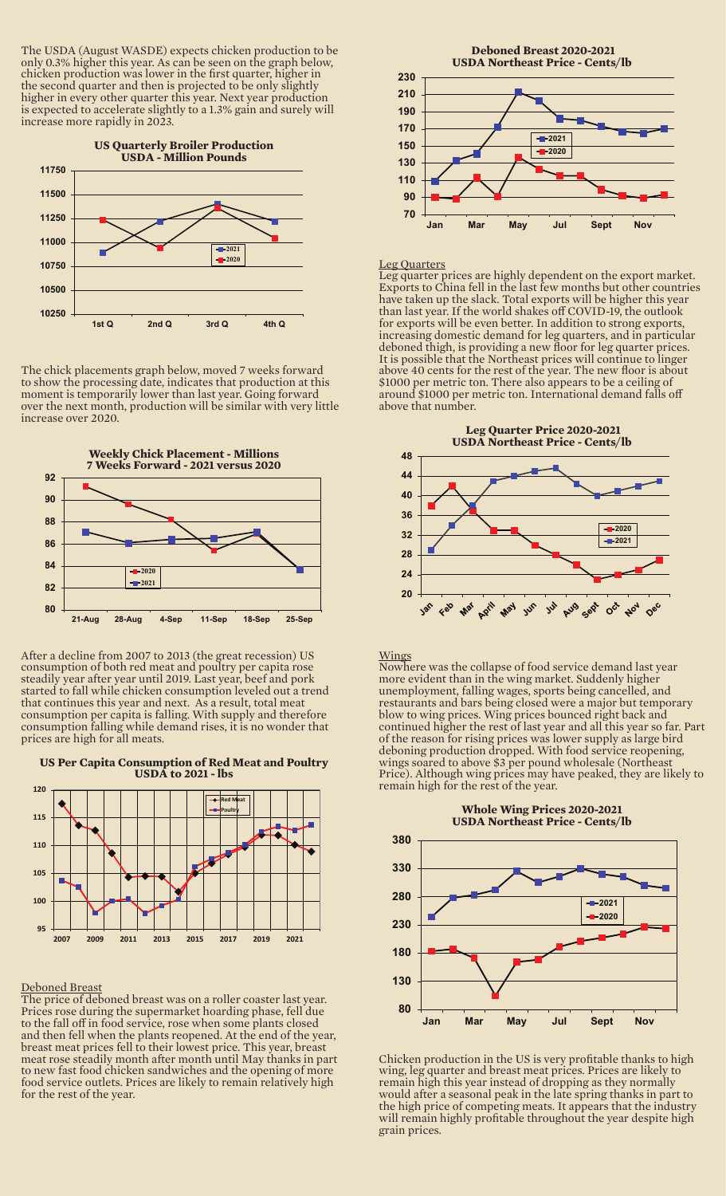The USDA (August WASDE) expects chicken production to be only 0.3% higher this year. As can be seen on the graph below, chicken production was lower in the first quarter, higher in the second quarter and then is projected to be only slightly higher in every other quarter this year. Next year production is expected to accelerate slightly to a 1.3% gain and surely will increase more rapidly in 2023.



The chick placements graph below, moved 7 weeks forward to show the processing date, indicates that production at this moment is temporarily lower than last year. Going forward over the next month, production will be similar with very little increase over 2020.



After a decline from 2007 to 2013 (the great recession) US consumption of both red meat and poultry per capita rose steadily year after year until 2019. Last year, beef and pork started to fall while chicken consumption leveled out a trend that continues this year and next. As a result, total meat consumption per capita is falling. With supply and therefore consumption falling while demand rises, it is no wonder that prices are high for all meats.

#### **US Per Capita Consumption of Red Meat and Poultry USDA to 2021 - lbs**



#### Deboned Breast

The price of deboned breast was on a roller coaster last year. Prices rose during the supermarket hoarding phase, fell due to the fall off in food service, rose when some plants closed and then fell when the plants reopened. At the end of the year, breast meat prices fell to their lowest price. This year, breast meat rose steadily month after month until May thanks in part to new fast food chicken sandwiches and the opening of more food service outlets. Prices are likely to remain relatively high for the rest of the year.



#### Leg Quarters

Leg quarter prices are highly dependent on the export market. Exports to China fell in the last few months but other countries have taken up the slack. Total exports will be higher this year than last year. If the world shakes off COVID-19, the outlook for exports will be even better. In addition to strong exports, increasing domestic demand for leg quarters, and in particular deboned thigh, is providing a new floor for leg quarter prices. It is possible that the Northeast prices will continue to linger above 40 cents for the rest of the year. The new floor is about \$1000 per metric ton. There also appears to be a ceiling of around \$1000 per metric ton. International demand falls off above that number.



## Wings

Nowhere was the collapse of food service demand last year more evident than in the wing market. Suddenly higher unemployment, falling wages, sports being cancelled, and restaurants and bars being closed were a major but temporary blow to wing prices. Wing prices bounced right back and continued higher the rest of last year and all this year so far. Part of the reason for rising prices was lower supply as large bird deboning production dropped. With food service reopening, wings soared to above \$3 per pound wholesale (Northeast Price). Although wing prices may have peaked, they are likely to remain high for the rest of the year.



Chicken production in the US is very profitable thanks to high wing, leg quarter and breast meat prices. Prices are likely to remain high this year instead of dropping as they normally would after a seasonal peak in the late spring thanks in part to the high price of competing meats. It appears that the industry will remain highly profitable throughout the year despite high grain prices.